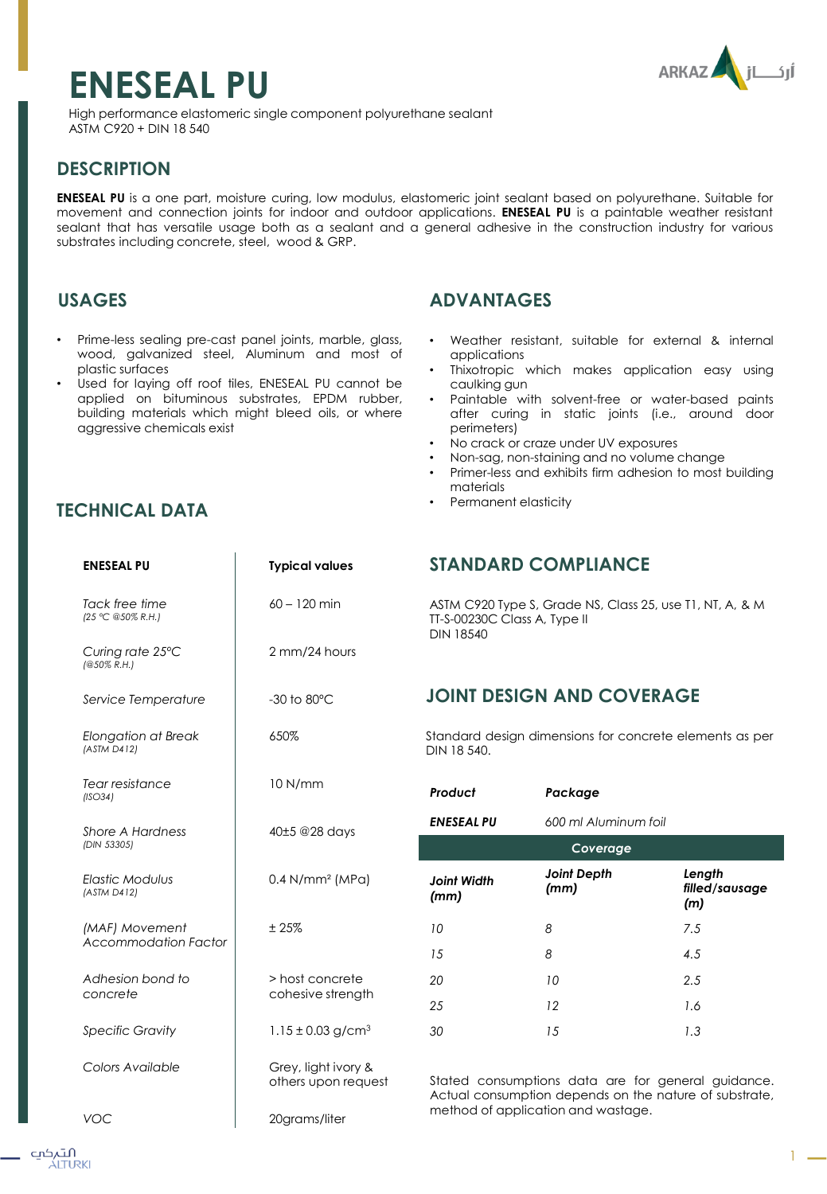# **ENESEAL PU**



High performance elastomeric single component polyurethane sealant ASTM C920 + DIN 18 540

## **DESCRIPTION**

**ENESEAL PU** is a one part, moisture curing, low modulus, elastomeric joint sealant based on polyurethane. Suitable for movement and connection joints for indoor and outdoor applications. **ENESEAL PU** is a paintable weather resistant sealant that has versatile usage both as a sealant and a general adhesive in the construction industry for various substrates including concrete, steel, wood & GRP.

## **USAGES**

- Prime-less sealing pre-cast panel joints, marble, glass, wood, galvanized steel, Aluminum and most of plastic surfaces
- Used for laying off roof tiles, ENESEAL PU cannot be applied on bituminous substrates, EPDM rubber, building materials which might bleed oils, or where aggressive chemicals exist

## **ADVANTAGES**

- Weather resistant, suitable for external & internal applications
- Thixotropic which makes application easy using caulking gun
- Paintable with solvent-free or water-based paints after curing in static joints (i.e., around door perimeters)
- No crack or craze under UV exposures
- Non-sag, non-staining and no volume change
- Primer-less and exhibits firm adhesion to most building materials
- Permanent elasticity

## **TECHNICAL DATA**

| <b>ENESEAL PU</b>                             | <b>Typical values</b>                      | <b>ST</b>   |  |
|-----------------------------------------------|--------------------------------------------|-------------|--|
| Tack free time<br>(25 °C @50% R.H.)           | $60 - 120$ min                             | AS<br>TT-S  |  |
| Curing rate 25°C<br>$(@50\%$ R.H.)            | 2 mm/24 hours                              | <b>DIN</b>  |  |
| Service Temperature                           | $-30$ to $80^{\circ}$ C                    | JC          |  |
| <b>Elongation at Break</b><br>(ASTM D412)     | 650%                                       | Star<br>DIN |  |
| Tear resistance<br>(ISO34)                    | 10 N/mm                                    | Prc         |  |
| Shore A Hardness<br>(DIN 53305)               | 40±5 @28 days                              | EN.         |  |
| <b>Elastic Modulus</b><br>(ASTM D412)         | $0.4$ N/mm <sup>2</sup> (MPa)              | Joi<br>(m   |  |
| (MAF) Movement<br><b>Accommodation Factor</b> | ±25%                                       | 10<br>15    |  |
| Adhesion bond to<br>concrete                  | > host concrete<br>cohesive strength       | 20<br>25    |  |
| <b>Specific Gravity</b>                       | $1.15 \pm 0.03$ g/cm <sup>3</sup>          | 30          |  |
| Colors Available                              | Grey, light ivory &<br>others upon request | Stc<br>Ac   |  |
| VOC                                           | 20grams/liter                              | me          |  |

## **STANDARD COMPLIANCE**

TM C920 Type S, Grade NS, Class 25, use T1, NT, A, & M S-00230C Class A, Type II  $\sqrt{18540}$ 

## **JINT DESIGN AND COVERAGE**

ndard design dimensions for concrete elements as per DIN 18 540.

| Product                    | Package                    |                                 |  |
|----------------------------|----------------------------|---------------------------------|--|
| <b>ENESEAL PU</b>          | 600 ml Aluminum foil       |                                 |  |
| Coverage                   |                            |                                 |  |
| <b>Joint Width</b><br>(mm) | <b>Joint Depth</b><br>(mm) | Length<br>filled/sausage<br>(m) |  |
| 10                         | 8                          | 7.5                             |  |
| 15                         | 8                          | 4.5                             |  |
| 20                         | 10                         | 2.5                             |  |
| 25                         | 12                         | 1.6                             |  |
| 30                         | 15                         | 1.3                             |  |

ted consumptions data are for general guidance. tual consumption depends on the nature of substrate, ethod of application and wastage.